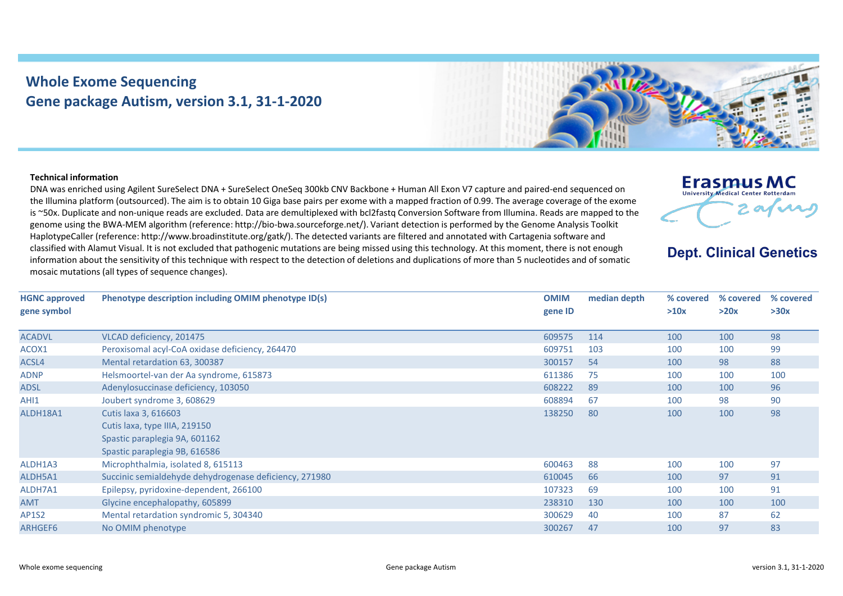## **Whole Exome Sequencing Gene package Autism, version 3.1, 31-1-2020**



## **Technical information**

DNA was enriched using Agilent SureSelect DNA + SureSelect OneSeq 300kb CNV Backbone + Human All Exon V7 capture and paired-end sequenced on the Illumina platform (outsourced). The aim is to obtain 10 Giga base pairs per exome with a mapped fraction of 0.99. The average coverage of the exome is ~50x. Duplicate and non-unique reads are excluded. Data are demultiplexed with bcl2fastq Conversion Software from Illumina. Reads are mapped to the genome using the BWA-MEM algorithm (reference: http://bio-bwa.sourceforge.net/). Variant detection is performed by the Genome Analysis Toolkit HaplotypeCaller (reference: http://www.broadinstitute.org/gatk/). The detected variants are filtered and annotated with Cartagenia software and classified with Alamut Visual. It is not excluded that pathogenic mutations are being missed using this technology. At this moment, there is not enough information about the sensitivity of this technique with respect to the detection of deletions and duplications of more than 5 nucleotides and of somatic mosaic mutations (all types of sequence changes).



## **Dept. Clinical Genetics**

| <b>HGNC approved</b> | Phenotype description including OMIM phenotype ID(s)   | <b>OMIM</b> | median depth | % covered | % covered | % covered |
|----------------------|--------------------------------------------------------|-------------|--------------|-----------|-----------|-----------|
| gene symbol          |                                                        | gene ID     |              | >10x      | >20x      | >30x      |
|                      |                                                        |             |              |           |           |           |
| <b>ACADVL</b>        | VLCAD deficiency, 201475                               | 609575      | 114          | 100       | 100       | 98        |
| ACOX1                | Peroxisomal acyl-CoA oxidase deficiency, 264470        | 609751      | 103          | 100       | 100       | 99        |
| ACSL4                | Mental retardation 63, 300387                          | 300157      | 54           | 100       | 98        | 88        |
| <b>ADNP</b>          | Helsmoortel-van der Aa syndrome, 615873                | 611386      | 75           | 100       | 100       | 100       |
| <b>ADSL</b>          | Adenylosuccinase deficiency, 103050                    | 608222      | 89           | 100       | 100       | 96        |
| AHI1                 | Joubert syndrome 3, 608629                             | 608894      | 67           | 100       | 98        | 90        |
| ALDH18A1             | Cutis laxa 3, 616603                                   | 138250      | 80           | 100       | 100       | 98        |
|                      | Cutis laxa, type IIIA, 219150                          |             |              |           |           |           |
|                      | Spastic paraplegia 9A, 601162                          |             |              |           |           |           |
|                      | Spastic paraplegia 9B, 616586                          |             |              |           |           |           |
| ALDH1A3              | Microphthalmia, isolated 8, 615113                     | 600463      | 88           | 100       | 100       | 97        |
| ALDH5A1              | Succinic semialdehyde dehydrogenase deficiency, 271980 | 610045      | 66           | 100       | 97        | 91        |
| ALDH7A1              | Epilepsy, pyridoxine-dependent, 266100                 | 107323      | 69           | 100       | 100       | 91        |
| <b>AMT</b>           | Glycine encephalopathy, 605899                         | 238310      | 130          | 100       | 100       | 100       |
| <b>AP1S2</b>         | Mental retardation syndromic 5, 304340                 | 300629      | 40           | 100       | 87        | 62        |
| ARHGEF6              | No OMIM phenotype                                      | 300267      | 47           | 100       | 97        | 83        |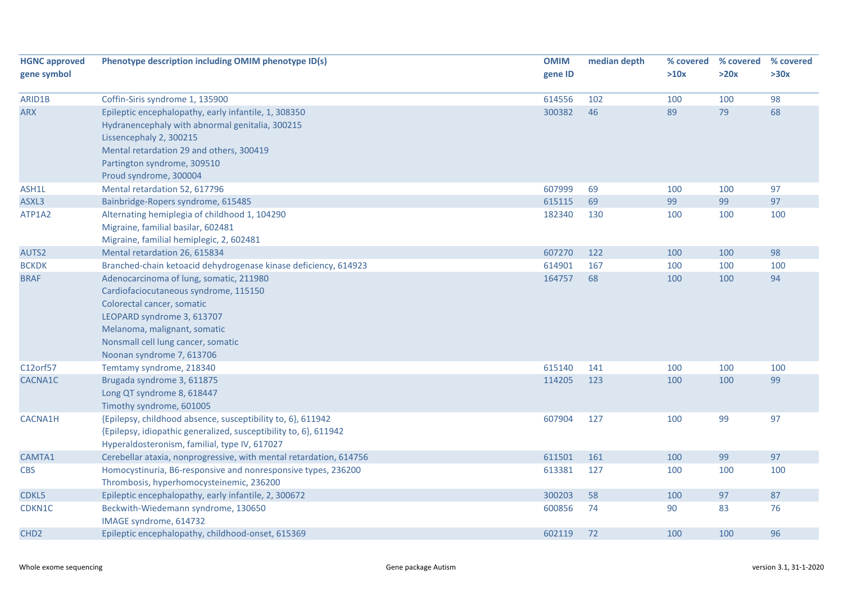| <b>HGNC approved</b><br>gene symbol | Phenotype description including OMIM phenotype ID(s)               | <b>OMIM</b><br>gene ID | median depth | % covered<br>>10x | % covered<br>>20x | % covered<br>>30x |
|-------------------------------------|--------------------------------------------------------------------|------------------------|--------------|-------------------|-------------------|-------------------|
| ARID1B                              | Coffin-Siris syndrome 1, 135900                                    | 614556                 | 102          | 100               | 100               | 98                |
| <b>ARX</b>                          | Epileptic encephalopathy, early infantile, 1, 308350               | 300382                 | 46           | 89                | 79                | 68                |
|                                     | Hydranencephaly with abnormal genitalia, 300215                    |                        |              |                   |                   |                   |
|                                     | Lissencephaly 2, 300215                                            |                        |              |                   |                   |                   |
|                                     | Mental retardation 29 and others, 300419                           |                        |              |                   |                   |                   |
|                                     | Partington syndrome, 309510                                        |                        |              |                   |                   |                   |
|                                     | Proud syndrome, 300004                                             |                        |              |                   |                   |                   |
| ASH1L                               | Mental retardation 52, 617796                                      | 607999                 | 69           | 100               | 100               | 97                |
| ASXL3                               | Bainbridge-Ropers syndrome, 615485                                 | 615115                 | 69           | 99                | 99                | 97                |
| ATP1A2                              | Alternating hemiplegia of childhood 1, 104290                      | 182340                 | 130          | 100               | 100               | 100               |
|                                     | Migraine, familial basilar, 602481                                 |                        |              |                   |                   |                   |
|                                     | Migraine, familial hemiplegic, 2, 602481                           |                        |              |                   |                   |                   |
| AUTS2                               | Mental retardation 26, 615834                                      | 607270                 | 122          | 100               | 100               | 98                |
| <b>BCKDK</b>                        | Branched-chain ketoacid dehydrogenase kinase deficiency, 614923    | 614901                 | 167          | 100               | 100               | 100               |
| <b>BRAF</b>                         | Adenocarcinoma of lung, somatic, 211980                            | 164757                 | 68           | 100               | 100               | 94                |
|                                     | Cardiofaciocutaneous syndrome, 115150                              |                        |              |                   |                   |                   |
|                                     | Colorectal cancer, somatic                                         |                        |              |                   |                   |                   |
|                                     | LEOPARD syndrome 3, 613707                                         |                        |              |                   |                   |                   |
|                                     | Melanoma, malignant, somatic                                       |                        |              |                   |                   |                   |
|                                     | Nonsmall cell lung cancer, somatic                                 |                        |              |                   |                   |                   |
|                                     | Noonan syndrome 7, 613706                                          |                        |              |                   |                   |                   |
| C12orf57                            | Temtamy syndrome, 218340                                           | 615140                 | 141          | 100               | 100               | 100               |
| CACNA1C                             | Brugada syndrome 3, 611875                                         | 114205                 | 123          | 100               | 100               | 99                |
|                                     | Long QT syndrome 8, 618447                                         |                        |              |                   |                   |                   |
|                                     | Timothy syndrome, 601005                                           |                        |              |                   |                   |                   |
| <b>CACNA1H</b>                      | {Epilepsy, childhood absence, susceptibility to, 6}, 611942        | 607904                 | 127          | 100               | 99                | 97                |
|                                     | {Epilepsy, idiopathic generalized, susceptibility to, 6}, 611942   |                        |              |                   |                   |                   |
|                                     | Hyperaldosteronism, familial, type IV, 617027                      |                        |              |                   |                   |                   |
| CAMTA1                              | Cerebellar ataxia, nonprogressive, with mental retardation, 614756 | 611501                 | 161          | 100               | 99                | 97                |
| <b>CBS</b>                          | Homocystinuria, B6-responsive and nonresponsive types, 236200      | 613381                 | 127          | 100               | 100               | 100               |
|                                     | Thrombosis, hyperhomocysteinemic, 236200                           |                        |              |                   |                   |                   |
| CDKL5                               | Epileptic encephalopathy, early infantile, 2, 300672               | 300203                 | 58           | 100               | 97                | 87                |
| CDKN1C                              | Beckwith-Wiedemann syndrome, 130650                                | 600856                 | 74           | 90                | 83                | 76                |
|                                     | IMAGE syndrome, 614732                                             |                        |              |                   |                   |                   |
| CHD <sub>2</sub>                    | Epileptic encephalopathy, childhood-onset, 615369                  | 602119                 | 72           | 100               | 100               | 96                |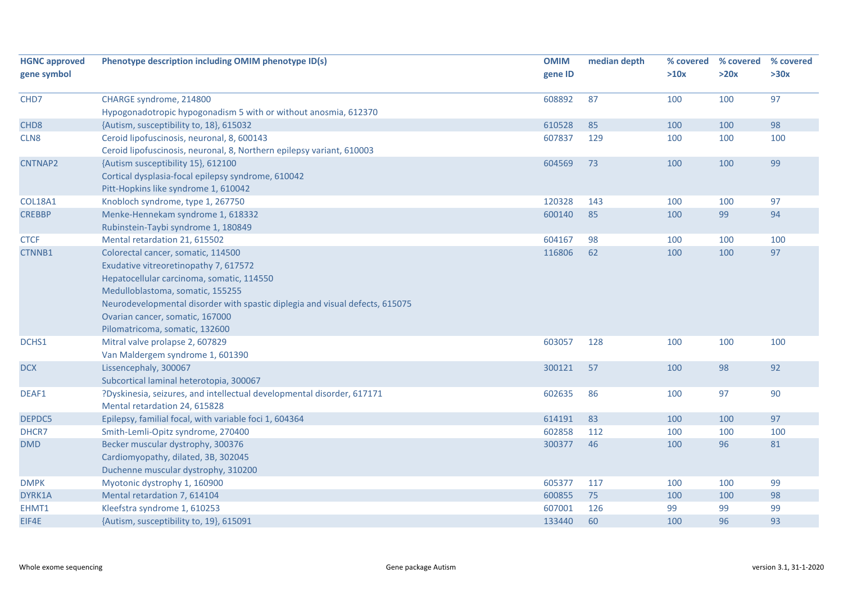| <b>HGNC approved</b><br>gene symbol | Phenotype description including OMIM phenotype ID(s)                         | <b>OMIM</b><br>gene ID | median depth | % covered<br>>10x | % covered<br>>20x | % covered<br>>30x |
|-------------------------------------|------------------------------------------------------------------------------|------------------------|--------------|-------------------|-------------------|-------------------|
| CHD7                                | CHARGE syndrome, 214800                                                      | 608892                 | 87           | 100               | 100               | 97                |
|                                     | Hypogonadotropic hypogonadism 5 with or without anosmia, 612370              |                        |              |                   |                   |                   |
| CHD <sub>8</sub>                    | {Autism, susceptibility to, 18}, 615032                                      | 610528                 | 85           | 100               | 100               | 98                |
| CLN8                                | Ceroid lipofuscinosis, neuronal, 8, 600143                                   | 607837                 | 129          | 100               | 100               | 100               |
|                                     | Ceroid lipofuscinosis, neuronal, 8, Northern epilepsy variant, 610003        |                        |              |                   |                   |                   |
| CNTNAP2                             | {Autism susceptibility 15}, 612100                                           | 604569                 | 73           | 100               | 100               | 99                |
|                                     | Cortical dysplasia-focal epilepsy syndrome, 610042                           |                        |              |                   |                   |                   |
|                                     | Pitt-Hopkins like syndrome 1, 610042                                         |                        |              |                   |                   |                   |
| <b>COL18A1</b>                      | Knobloch syndrome, type 1, 267750                                            | 120328                 | 143          | 100               | 100               | 97                |
| <b>CREBBP</b>                       | Menke-Hennekam syndrome 1, 618332                                            | 600140                 | 85           | 100               | 99                | 94                |
|                                     | Rubinstein-Taybi syndrome 1, 180849                                          |                        |              |                   |                   |                   |
| <b>CTCF</b>                         | Mental retardation 21, 615502                                                | 604167                 | 98           | 100               | 100               | 100               |
| CTNNB1                              | Colorectal cancer, somatic, 114500                                           | 116806                 | 62           | 100               | 100               | 97                |
|                                     | Exudative vitreoretinopathy 7, 617572                                        |                        |              |                   |                   |                   |
|                                     | Hepatocellular carcinoma, somatic, 114550                                    |                        |              |                   |                   |                   |
|                                     | Medulloblastoma, somatic, 155255                                             |                        |              |                   |                   |                   |
|                                     | Neurodevelopmental disorder with spastic diplegia and visual defects, 615075 |                        |              |                   |                   |                   |
|                                     | Ovarian cancer, somatic, 167000                                              |                        |              |                   |                   |                   |
|                                     | Pilomatricoma, somatic, 132600                                               |                        |              |                   |                   |                   |
| DCHS1                               | Mitral valve prolapse 2, 607829                                              | 603057                 | 128          | 100               | 100               | 100               |
|                                     | Van Maldergem syndrome 1, 601390                                             |                        |              |                   |                   |                   |
| <b>DCX</b>                          | Lissencephaly, 300067                                                        | 300121                 | 57           | 100               | 98                | 92                |
|                                     | Subcortical laminal heterotopia, 300067                                      |                        |              |                   |                   |                   |
| DEAF1                               | ?Dyskinesia, seizures, and intellectual developmental disorder, 617171       | 602635                 | 86           | 100               | 97                | 90                |
|                                     | Mental retardation 24, 615828                                                |                        |              |                   |                   |                   |
| DEPDC5                              | Epilepsy, familial focal, with variable foci 1, 604364                       | 614191                 | 83           | 100               | 100               | 97                |
| DHCR7                               | Smith-Lemli-Opitz syndrome, 270400                                           | 602858                 | 112          | 100               | 100               | 100               |
| <b>DMD</b>                          | Becker muscular dystrophy, 300376                                            | 300377                 | 46           | 100               | 96                | 81                |
|                                     | Cardiomyopathy, dilated, 3B, 302045                                          |                        |              |                   |                   |                   |
|                                     | Duchenne muscular dystrophy, 310200                                          |                        |              |                   |                   |                   |
| <b>DMPK</b>                         | Myotonic dystrophy 1, 160900                                                 | 605377                 | 117          | 100               | 100               | 99                |
| DYRK1A                              | Mental retardation 7, 614104                                                 | 600855                 | 75           | 100               | 100               | 98                |
| EHMT1                               | Kleefstra syndrome 1, 610253                                                 | 607001                 | 126          | 99                | 99                | 99                |
| EIF4E                               | {Autism, susceptibility to, 19}, 615091                                      | 133440                 | 60           | 100               | 96                | 93                |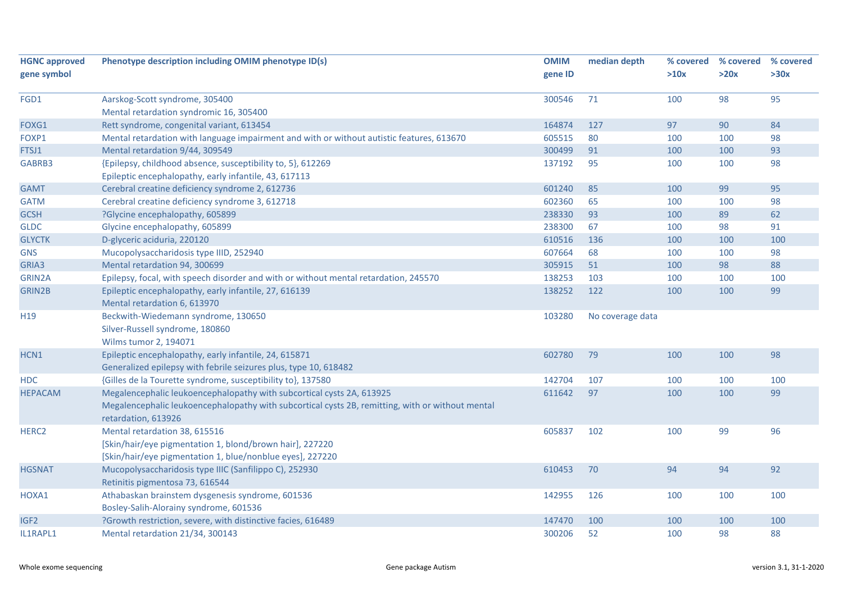| <b>HGNC approved</b> | Phenotype description including OMIM phenotype ID(s)                                             | <b>OMIM</b> | median depth     | % covered | % covered | % covered |
|----------------------|--------------------------------------------------------------------------------------------------|-------------|------------------|-----------|-----------|-----------|
| gene symbol          |                                                                                                  | gene ID     |                  | >10x      | >20x      | >30x      |
| FGD1                 | Aarskog-Scott syndrome, 305400                                                                   | 300546      | 71               | 100       | 98        | 95        |
|                      | Mental retardation syndromic 16, 305400                                                          |             |                  |           |           |           |
| FOXG1                | Rett syndrome, congenital variant, 613454                                                        | 164874      | 127              | 97        | 90        | 84        |
| FOXP1                | Mental retardation with language impairment and with or without autistic features, 613670        | 605515      | 80               | 100       | 100       | 98        |
| FTSJ1                | Mental retardation 9/44, 309549                                                                  | 300499      | 91               | 100       | 100       | 93        |
| GABRB3               | {Epilepsy, childhood absence, susceptibility to, 5}, 612269                                      | 137192      | 95               | 100       | 100       | 98        |
|                      | Epileptic encephalopathy, early infantile, 43, 617113                                            |             |                  |           |           |           |
| <b>GAMT</b>          | Cerebral creatine deficiency syndrome 2, 612736                                                  | 601240      | 85               | 100       | 99        | 95        |
| <b>GATM</b>          | Cerebral creatine deficiency syndrome 3, 612718                                                  | 602360      | 65               | 100       | 100       | 98        |
| <b>GCSH</b>          | ?Glycine encephalopathy, 605899                                                                  | 238330      | 93               | 100       | 89        | 62        |
| <b>GLDC</b>          | Glycine encephalopathy, 605899                                                                   | 238300      | 67               | 100       | 98        | 91        |
| <b>GLYCTK</b>        | D-glyceric aciduria, 220120                                                                      | 610516      | 136              | 100       | 100       | 100       |
| <b>GNS</b>           | Mucopolysaccharidosis type IIID, 252940                                                          | 607664      | 68               | 100       | 100       | 98        |
| GRIA3                | Mental retardation 94, 300699                                                                    | 305915      | 51               | 100       | 98        | 88        |
| <b>GRIN2A</b>        | Epilepsy, focal, with speech disorder and with or without mental retardation, 245570             | 138253      | 103              | 100       | 100       | 100       |
| GRIN2B               | Epileptic encephalopathy, early infantile, 27, 616139                                            | 138252      | 122              | 100       | 100       | 99        |
|                      | Mental retardation 6, 613970                                                                     |             |                  |           |           |           |
| H <sub>19</sub>      | Beckwith-Wiedemann syndrome, 130650                                                              | 103280      | No coverage data |           |           |           |
|                      | Silver-Russell syndrome, 180860                                                                  |             |                  |           |           |           |
|                      | Wilms tumor 2, 194071                                                                            |             |                  |           |           |           |
| HCN1                 | Epileptic encephalopathy, early infantile, 24, 615871                                            | 602780      | 79               | 100       | 100       | 98        |
|                      | Generalized epilepsy with febrile seizures plus, type 10, 618482                                 |             |                  |           |           |           |
| <b>HDC</b>           | {Gilles de la Tourette syndrome, susceptibility to}, 137580                                      | 142704      | 107              | 100       | 100       | 100       |
| <b>HEPACAM</b>       | Megalencephalic leukoencephalopathy with subcortical cysts 2A, 613925                            | 611642      | 97               | 100       | 100       | 99        |
|                      | Megalencephalic leukoencephalopathy with subcortical cysts 2B, remitting, with or without mental |             |                  |           |           |           |
|                      | retardation, 613926                                                                              |             |                  |           |           |           |
| HERC <sub>2</sub>    | Mental retardation 38, 615516                                                                    | 605837      | 102              | 100       | 99        | 96        |
|                      | [Skin/hair/eye pigmentation 1, blond/brown hair], 227220                                         |             |                  |           |           |           |
|                      | [Skin/hair/eye pigmentation 1, blue/nonblue eyes], 227220                                        |             |                  |           |           |           |
| <b>HGSNAT</b>        | Mucopolysaccharidosis type IIIC (Sanfilippo C), 252930                                           | 610453      | 70               | 94        | 94        | 92        |
|                      | Retinitis pigmentosa 73, 616544                                                                  |             |                  |           |           |           |
| HOXA1                | Athabaskan brainstem dysgenesis syndrome, 601536                                                 | 142955      | 126              | 100       | 100       | 100       |
|                      | Bosley-Salih-Alorainy syndrome, 601536                                                           |             |                  |           |           |           |
| IGF <sub>2</sub>     | ?Growth restriction, severe, with distinctive facies, 616489                                     | 147470      | 100              | 100       | 100       | 100       |
| IL1RAPL1             | Mental retardation 21/34, 300143                                                                 | 300206      | 52               | 100       | 98        | 88        |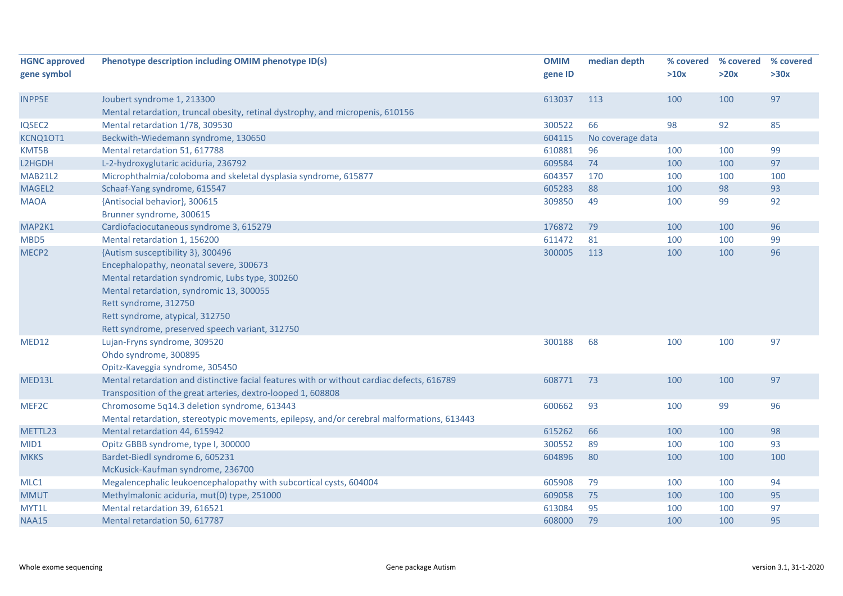| <b>HGNC approved</b> | Phenotype description including OMIM phenotype ID(s)                                       | <b>OMIM</b> | median depth     | % covered | % covered | % covered |
|----------------------|--------------------------------------------------------------------------------------------|-------------|------------------|-----------|-----------|-----------|
| gene symbol          |                                                                                            | gene ID     |                  | >10x      | >20x      | >30x      |
| <b>INPP5E</b>        | Joubert syndrome 1, 213300                                                                 | 613037      | 113              | 100       | 100       | 97        |
|                      | Mental retardation, truncal obesity, retinal dystrophy, and micropenis, 610156             |             |                  |           |           |           |
| IQSEC2               | Mental retardation 1/78, 309530                                                            | 300522      | 66               | 98        | 92        | 85        |
| KCNQ10T1             | Beckwith-Wiedemann syndrome, 130650                                                        | 604115      | No coverage data |           |           |           |
| KMT5B                | Mental retardation 51, 617788                                                              | 610881      | 96               | 100       | 100       | 99        |
| L2HGDH               | L-2-hydroxyglutaric aciduria, 236792                                                       | 609584      | 74               | 100       | 100       | 97        |
| <b>MAB21L2</b>       | Microphthalmia/coloboma and skeletal dysplasia syndrome, 615877                            | 604357      | 170              | 100       | 100       | 100       |
| MAGEL2               | Schaaf-Yang syndrome, 615547                                                               | 605283      | 88               | 100       | 98        | 93        |
| <b>MAOA</b>          | {Antisocial behavior}, 300615                                                              | 309850      | 49               | 100       | 99        | 92        |
|                      | Brunner syndrome, 300615                                                                   |             |                  |           |           |           |
| MAP2K1               | Cardiofaciocutaneous syndrome 3, 615279                                                    | 176872      | 79               | 100       | 100       | 96        |
| MBD5                 | Mental retardation 1, 156200                                                               | 611472      | 81               | 100       | 100       | 99        |
| MECP2                | {Autism susceptibility 3}, 300496                                                          | 300005      | 113              | 100       | 100       | 96        |
|                      | Encephalopathy, neonatal severe, 300673                                                    |             |                  |           |           |           |
|                      | Mental retardation syndromic, Lubs type, 300260                                            |             |                  |           |           |           |
|                      | Mental retardation, syndromic 13, 300055                                                   |             |                  |           |           |           |
|                      | Rett syndrome, 312750                                                                      |             |                  |           |           |           |
|                      | Rett syndrome, atypical, 312750                                                            |             |                  |           |           |           |
|                      | Rett syndrome, preserved speech variant, 312750                                            |             |                  |           |           |           |
| MED12                | Lujan-Fryns syndrome, 309520                                                               | 300188      | 68               | 100       | 100       | 97        |
|                      | Ohdo syndrome, 300895                                                                      |             |                  |           |           |           |
|                      | Opitz-Kaveggia syndrome, 305450                                                            |             |                  |           |           |           |
| MED13L               | Mental retardation and distinctive facial features with or without cardiac defects, 616789 | 608771      | 73               | 100       | 100       | 97        |
|                      | Transposition of the great arteries, dextro-looped 1, 608808                               |             |                  |           |           |           |
| MEF2C                | Chromosome 5q14.3 deletion syndrome, 613443                                                | 600662      | 93               | 100       | 99        | 96        |
|                      | Mental retardation, stereotypic movements, epilepsy, and/or cerebral malformations, 613443 |             |                  |           |           |           |
| METTL23              | Mental retardation 44, 615942                                                              | 615262      | 66               | 100       | 100       | 98        |
| MID1                 | Opitz GBBB syndrome, type I, 300000                                                        | 300552      | 89               | 100       | 100       | 93        |
| <b>MKKS</b>          | Bardet-Biedl syndrome 6, 605231                                                            | 604896      | 80               | 100       | 100       | 100       |
|                      | McKusick-Kaufman syndrome, 236700                                                          |             |                  |           |           |           |
| MLC1                 | Megalencephalic leukoencephalopathy with subcortical cysts, 604004                         | 605908      | 79               | 100       | 100       | 94        |
| <b>MMUT</b>          | Methylmalonic aciduria, mut(0) type, 251000                                                | 609058      | 75               | 100       | 100       | 95        |
| MYT1L                | Mental retardation 39, 616521                                                              | 613084      | 95               | 100       | 100       | 97        |
| <b>NAA15</b>         | Mental retardation 50, 617787                                                              | 608000      | 79               | 100       | 100       | 95        |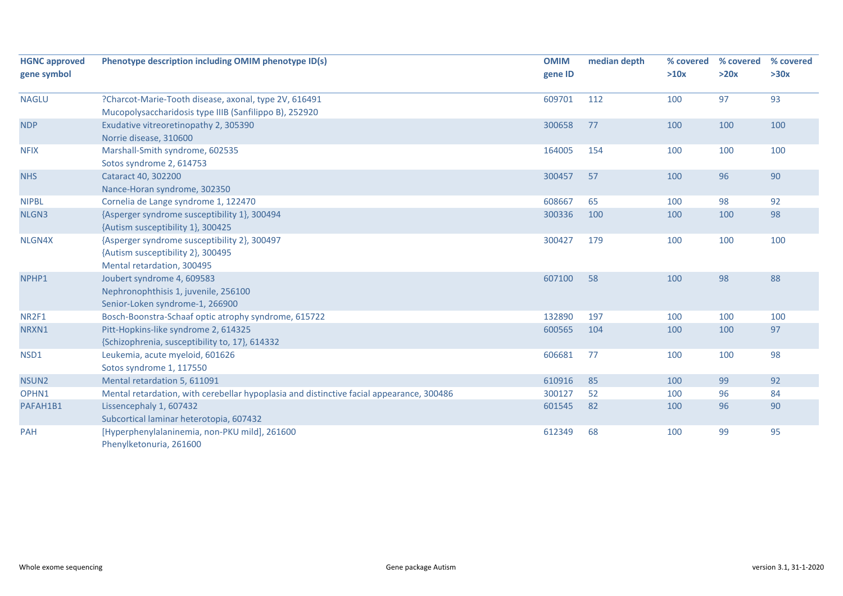| <b>HGNC approved</b> | Phenotype description including OMIM phenotype ID(s)                                     | <b>OMIM</b> | median depth | % covered | % covered | % covered |
|----------------------|------------------------------------------------------------------------------------------|-------------|--------------|-----------|-----------|-----------|
| gene symbol          |                                                                                          | gene ID     |              | >10x      | >20x      | >30x      |
| <b>NAGLU</b>         | ?Charcot-Marie-Tooth disease, axonal, type 2V, 616491                                    | 609701      | 112          | 100       | 97        | 93        |
|                      | Mucopolysaccharidosis type IIIB (Sanfilippo B), 252920                                   |             |              |           |           |           |
| <b>NDP</b>           | Exudative vitreoretinopathy 2, 305390                                                    | 300658      | 77           | 100       | 100       | 100       |
|                      | Norrie disease, 310600                                                                   |             |              |           |           |           |
| <b>NFIX</b>          | Marshall-Smith syndrome, 602535                                                          | 164005      | 154          | 100       | 100       | 100       |
|                      | Sotos syndrome 2, 614753                                                                 |             |              |           |           |           |
| <b>NHS</b>           | Cataract 40, 302200                                                                      | 300457      | 57           | 100       | 96        | 90        |
|                      | Nance-Horan syndrome, 302350                                                             |             |              |           |           |           |
| <b>NIPBL</b>         | Cornelia de Lange syndrome 1, 122470                                                     | 608667      | 65           | 100       | 98        | 92        |
| NLGN3                | {Asperger syndrome susceptibility 1}, 300494                                             | 300336      | 100          | 100       | 100       | 98        |
|                      | {Autism susceptibility 1}, 300425                                                        |             |              |           |           |           |
| NLGN4X               | {Asperger syndrome susceptibility 2}, 300497                                             | 300427      | 179          | 100       | 100       | 100       |
|                      | {Autism susceptibility 2}, 300495                                                        |             |              |           |           |           |
|                      | Mental retardation, 300495                                                               |             |              |           |           |           |
| NPHP1                | Joubert syndrome 4, 609583                                                               | 607100      | 58           | 100       | 98        | 88        |
|                      | Nephronophthisis 1, juvenile, 256100                                                     |             |              |           |           |           |
|                      | Senior-Loken syndrome-1, 266900                                                          |             |              |           |           |           |
| NR2F1                | Bosch-Boonstra-Schaaf optic atrophy syndrome, 615722                                     | 132890      | 197          | 100       | 100       | 100       |
| NRXN1                | Pitt-Hopkins-like syndrome 2, 614325                                                     | 600565      | 104          | 100       | 100       | 97        |
|                      | {Schizophrenia, susceptibility to, 17}, 614332                                           |             |              |           |           |           |
| NSD1                 | Leukemia, acute myeloid, 601626                                                          | 606681      | 77           | 100       | 100       | 98        |
|                      | Sotos syndrome 1, 117550                                                                 |             |              |           |           |           |
| NSUN <sub>2</sub>    | Mental retardation 5, 611091                                                             | 610916      | 85           | 100       | 99        | 92        |
| OPHN1                | Mental retardation, with cerebellar hypoplasia and distinctive facial appearance, 300486 | 300127      | 52           | 100       | 96        | 84        |
| PAFAH1B1             | Lissencephaly 1, 607432                                                                  | 601545      | 82           | 100       | 96        | 90        |
|                      | Subcortical laminar heterotopia, 607432                                                  |             |              |           |           |           |
| <b>PAH</b>           | [Hyperphenylalaninemia, non-PKU mild], 261600                                            | 612349      | 68           | 100       | 99        | 95        |
|                      | Phenylketonuria, 261600                                                                  |             |              |           |           |           |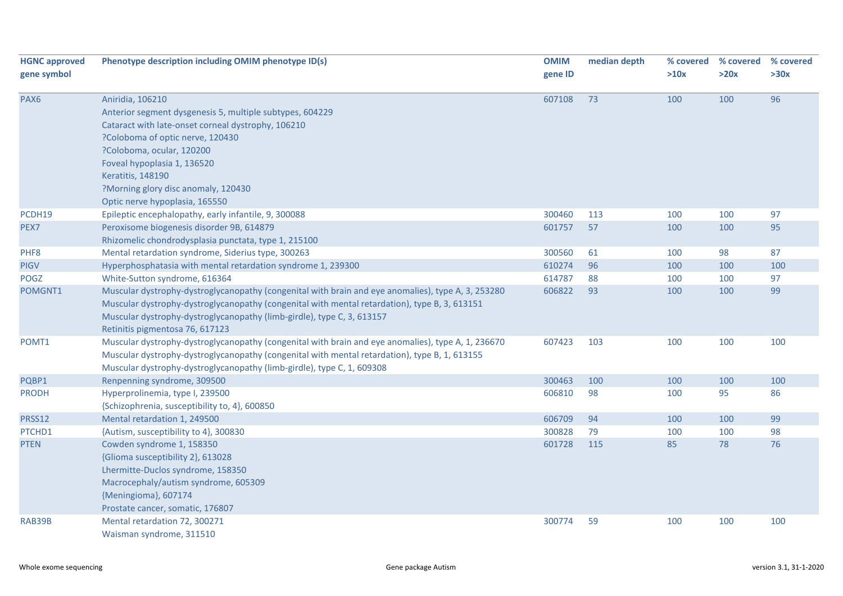| <b>HGNC approved</b><br>gene symbol | Phenotype description including OMIM phenotype ID(s)                                                                                                                                                                                                                                                                             | <b>OMIM</b><br>gene ID | median depth | % covered<br>>10x | % covered<br>>20x | % covered<br>>30x |
|-------------------------------------|----------------------------------------------------------------------------------------------------------------------------------------------------------------------------------------------------------------------------------------------------------------------------------------------------------------------------------|------------------------|--------------|-------------------|-------------------|-------------------|
| PAX6                                | Aniridia, 106210<br>Anterior segment dysgenesis 5, multiple subtypes, 604229<br>Cataract with late-onset corneal dystrophy, 106210<br>?Coloboma of optic nerve, 120430<br>?Coloboma, ocular, 120200<br>Foveal hypoplasia 1, 136520<br>Keratitis, 148190<br>?Morning glory disc anomaly, 120430<br>Optic nerve hypoplasia, 165550 | 607108                 | 73           | 100               | 100               | 96                |
| PCDH19                              | Epileptic encephalopathy, early infantile, 9, 300088                                                                                                                                                                                                                                                                             | 300460                 | 113          | 100               | 100               | 97                |
| PEX7                                | Peroxisome biogenesis disorder 9B, 614879<br>Rhizomelic chondrodysplasia punctata, type 1, 215100                                                                                                                                                                                                                                | 601757                 | 57           | 100               | 100               | 95                |
| PHF8                                | Mental retardation syndrome, Siderius type, 300263                                                                                                                                                                                                                                                                               | 300560                 | 61           | 100               | 98                | 87                |
| <b>PIGV</b>                         | Hyperphosphatasia with mental retardation syndrome 1, 239300                                                                                                                                                                                                                                                                     | 610274                 | 96           | 100               | 100               | 100               |
| <b>POGZ</b>                         | White-Sutton syndrome, 616364                                                                                                                                                                                                                                                                                                    | 614787                 | 88           | 100               | 100               | 97                |
| POMGNT1                             | Muscular dystrophy-dystroglycanopathy (congenital with brain and eye anomalies), type A, 3, 253280<br>Muscular dystrophy-dystroglycanopathy (congenital with mental retardation), type B, 3, 613151<br>Muscular dystrophy-dystroglycanopathy (limb-girdle), type C, 3, 613157<br>Retinitis pigmentosa 76, 617123                 | 606822                 | 93           | 100               | 100               | 99                |
| POMT1                               | Muscular dystrophy-dystroglycanopathy (congenital with brain and eye anomalies), type A, 1, 236670<br>Muscular dystrophy-dystroglycanopathy (congenital with mental retardation), type B, 1, 613155<br>Muscular dystrophy-dystroglycanopathy (limb-girdle), type C, 1, 609308                                                    | 607423                 | 103          | 100               | 100               | 100               |
| PQBP1                               | Renpenning syndrome, 309500                                                                                                                                                                                                                                                                                                      | 300463                 | 100          | 100               | 100               | 100               |
| <b>PRODH</b>                        | Hyperprolinemia, type I, 239500<br>{Schizophrenia, susceptibility to, 4}, 600850                                                                                                                                                                                                                                                 | 606810                 | 98           | 100               | 95                | 86                |
| PRSS12                              | Mental retardation 1, 249500                                                                                                                                                                                                                                                                                                     | 606709                 | 94           | 100               | 100               | 99                |
| PTCHD1                              | {Autism, susceptibility to 4}, 300830                                                                                                                                                                                                                                                                                            | 300828                 | 79           | 100               | 100               | 98                |
| <b>PTEN</b>                         | Cowden syndrome 1, 158350<br>{Glioma susceptibility 2}, 613028<br>Lhermitte-Duclos syndrome, 158350<br>Macrocephaly/autism syndrome, 605309<br>{Meningioma}, 607174<br>Prostate cancer, somatic, 176807                                                                                                                          | 601728                 | 115          | 85                | 78                | 76                |
| RAB39B                              | Mental retardation 72, 300271<br>Waisman syndrome, 311510                                                                                                                                                                                                                                                                        | 300774                 | 59           | 100               | 100               | 100               |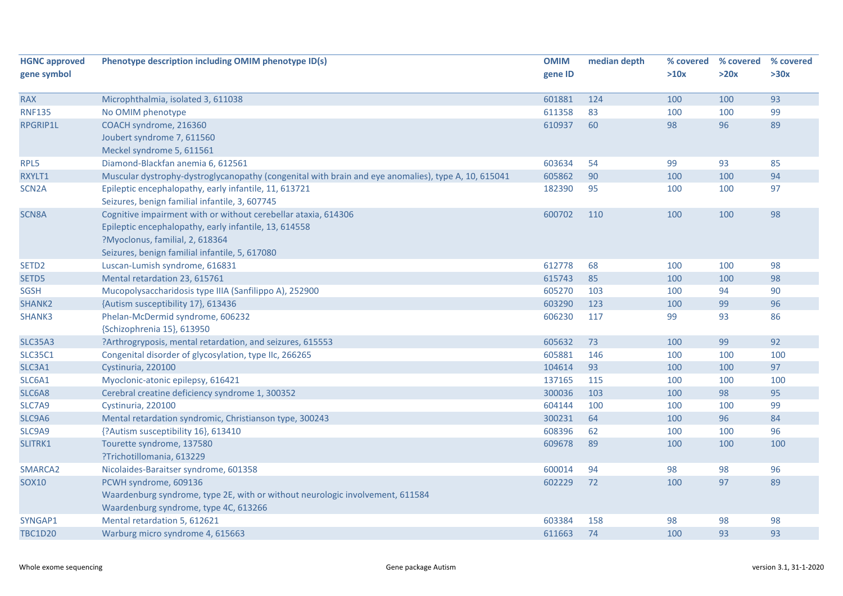| <b>HGNC approved</b><br>gene symbol | Phenotype description including OMIM phenotype ID(s)                                                | <b>OMIM</b><br>gene ID | median depth | % covered<br>>10x | % covered<br>>20x | % covered<br>>30x |
|-------------------------------------|-----------------------------------------------------------------------------------------------------|------------------------|--------------|-------------------|-------------------|-------------------|
|                                     |                                                                                                     |                        |              |                   |                   |                   |
| <b>RAX</b>                          | Microphthalmia, isolated 3, 611038                                                                  | 601881                 | 124          | 100               | 100               | 93                |
| <b>RNF135</b>                       | No OMIM phenotype                                                                                   | 611358                 | 83           | 100               | 100               | 99                |
| RPGRIP1L                            | COACH syndrome, 216360                                                                              | 610937                 | 60           | 98                | 96                | 89                |
|                                     | Joubert syndrome 7, 611560                                                                          |                        |              |                   |                   |                   |
|                                     | Meckel syndrome 5, 611561                                                                           |                        |              |                   |                   |                   |
| RPL5                                | Diamond-Blackfan anemia 6, 612561                                                                   | 603634                 | 54           | 99                | 93                | 85                |
| RXYLT1                              | Muscular dystrophy-dystroglycanopathy (congenital with brain and eye anomalies), type A, 10, 615041 | 605862                 | 90           | 100               | 100               | 94                |
| SCN <sub>2</sub> A                  | Epileptic encephalopathy, early infantile, 11, 613721                                               | 182390                 | 95           | 100               | 100               | 97                |
|                                     | Seizures, benign familial infantile, 3, 607745                                                      |                        |              |                   |                   |                   |
| SCN <sub>8</sub> A                  | Cognitive impairment with or without cerebellar ataxia, 614306                                      | 600702                 | 110          | 100               | 100               | 98                |
|                                     | Epileptic encephalopathy, early infantile, 13, 614558                                               |                        |              |                   |                   |                   |
|                                     | ?Myoclonus, familial, 2, 618364                                                                     |                        |              |                   |                   |                   |
|                                     | Seizures, benign familial infantile, 5, 617080                                                      |                        |              |                   |                   |                   |
| SETD <sub>2</sub>                   | Luscan-Lumish syndrome, 616831                                                                      | 612778                 | 68           | 100               | 100               | 98                |
| SETD5                               | Mental retardation 23, 615761                                                                       | 615743                 | 85           | 100               | 100               | 98                |
| <b>SGSH</b>                         | Mucopolysaccharidosis type IIIA (Sanfilippo A), 252900                                              | 605270                 | 103          | 100               | 94                | 90                |
| SHANK2                              | {Autism susceptibility 17}, 613436                                                                  | 603290                 | 123          | 100               | 99                | 96                |
| SHANK3                              | Phelan-McDermid syndrome, 606232                                                                    | 606230                 | 117          | 99                | 93                | 86                |
|                                     | {Schizophrenia 15}, 613950                                                                          |                        |              |                   |                   |                   |
| <b>SLC35A3</b>                      | ?Arthrogryposis, mental retardation, and seizures, 615553                                           | 605632                 | 73           | 100               | 99                | 92                |
| <b>SLC35C1</b>                      | Congenital disorder of glycosylation, type IIc, 266265                                              | 605881                 | 146          | 100               | 100               | 100               |
| SLC3A1                              | Cystinuria, 220100                                                                                  | 104614                 | 93           | 100               | 100               | 97                |
| SLC6A1                              | Myoclonic-atonic epilepsy, 616421                                                                   | 137165                 | 115          | 100               | 100               | 100               |
| SLC6A8                              | Cerebral creatine deficiency syndrome 1, 300352                                                     | 300036                 | 103          | 100               | 98                | 95                |
| SLC7A9                              | Cystinuria, 220100                                                                                  | 604144                 | 100          | 100               | 100               | 99                |
| SLC9A6                              | Mental retardation syndromic, Christianson type, 300243                                             | 300231                 | 64           | 100               | 96                | 84                |
| SLC9A9                              | {?Autism susceptibility 16}, 613410                                                                 | 608396                 | 62           | 100               | 100               | 96                |
| SLITRK1                             | Tourette syndrome, 137580                                                                           | 609678                 | 89           | 100               | 100               | 100               |
|                                     | ?Trichotillomania, 613229                                                                           |                        |              |                   |                   |                   |
| SMARCA2                             | Nicolaides-Baraitser syndrome, 601358                                                               | 600014                 | 94           | 98                | 98                | 96                |
| SOX10                               | PCWH syndrome, 609136                                                                               | 602229                 | 72           | 100               | 97                | 89                |
|                                     | Waardenburg syndrome, type 2E, with or without neurologic involvement, 611584                       |                        |              |                   |                   |                   |
|                                     | Waardenburg syndrome, type 4C, 613266                                                               |                        |              |                   |                   |                   |
| SYNGAP1                             | Mental retardation 5, 612621                                                                        | 603384                 | 158          | 98                | 98                | 98                |
| <b>TBC1D20</b>                      | Warburg micro syndrome 4, 615663                                                                    | 611663                 | 74           | 100               | 93                | 93                |